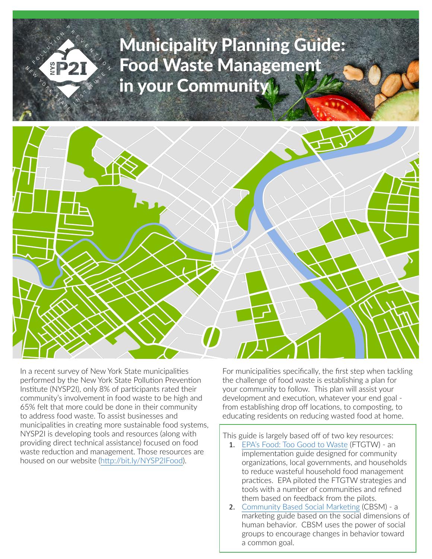# Municipality Planning Guide: Food Waste Management in your Community



In a recent survey of New York State municipalities performed by the New York State Pollution Prevention Institute (NYSP2I), only 8% of participants rated their community's involvement in food waste to be high and 65% felt that more could be done in their community to address food waste. To assist businesses and municipalities in creating more sustainable food systems, NYSP2I is developing tools and resources (along with providing direct technical assistance) focused on food waste reduction and management. Those resources are housed on our website (<http://bit.ly/NYSP2IFood>).

For municipalities specifically, the first step when tackling the challenge of food waste is establishing a plan for your community to follow. This plan will assist your development and execution, whatever your end goal from establishing drop off locations, to composting, to educating residents on reducing wasted food at home.

This guide is largely based off of two key resources:

- 1. [EPA's Food: Too Good to Waste](https://www.epa.gov/sites/production/files/2016-02/documents/implementation_guide_and_toolkit_ftgtw_2_1_2016_pubnumberadded508_alldocuments.pdf) (FTGTW) an implementation guide designed for community organizations, local governments, and households to reduce wasteful household food management practices. EPA piloted the FTGTW strategies and tools with a number of communities and refined them based on feedback from the pilots.
- 2. [Community Based Social Marketing](http://www.cbsm.com) (CBSM) a marketing guide based on the social dimensions of human behavior. CBSM uses the power of social groups to encourage changes in behavior toward a common goal.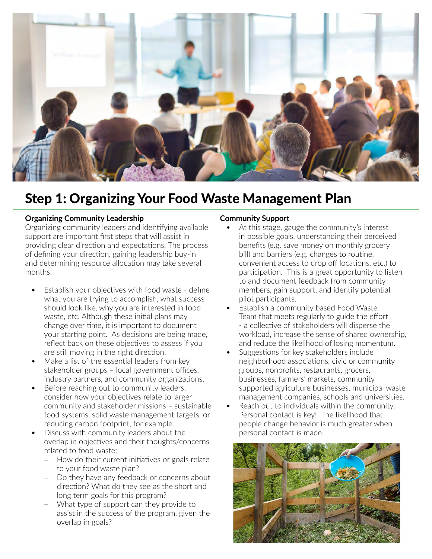

### Step 1: Organizing Your Food Waste Management Plan

#### **Organizing Community Leadership**

Organizing community leaders and identifying available support are important first steps that will assist in providing clear direction and expectations. The process of defining your direction, gaining leadership buy-in and determining resource allocation may take several months.

- Establish your objectives with food waste define what you are trying to accomplish, what success should look like, why you are interested in food waste, etc. Although these initial plans may change over time, it is important to document your starting point. As decisions are being made, reflect back on these objectives to assess if you are still moving in the right direction.
- Make a list of the essential leaders from key stakeholder groups – local government offices, industry partners, and community organizations.
- Before reaching out to community leaders, consider how your objectives relate to larger community and stakeholder missions – sustainable food systems, solid waste management targets, or reducing carbon footprint, for example.
- Discuss with community leaders about the overlap in objectives and their thoughts/concerns related to food waste:
	- ─ How do their current initiatives or goals relate to your food waste plan?
	- Do they have any feedback or concerns about direction? What do they see as the short and long term goals for this program?
	- What type of support can they provide to assist in the success of the program, given the overlap in goals?

#### **Community Support**

- At this stage, gauge the community's interest in possible goals, understanding their perceived benefits (e.g. save money on monthly grocery bill) and barriers (e.g. changes to routine, convenient access to drop off locations, etc.) to participation. This is a great opportunity to listen to and document feedback from community members, gain support, and identify potential pilot participants.
- Establish a community based Food Waste Team that meets regularly to guide the effort - a collective of stakeholders will disperse the workload, increase the sense of shared ownership, and reduce the likelihood of losing momentum.
- Suggestions for key stakeholders include neighborhood associations, civic or community groups, nonprofits, restaurants, grocers, businesses, farmers' markets, community supported agriculture businesses, municipal waste management companies, schools and universities.
- Reach out to individuals within the community. Personal contact is key! The likelihood that people change behavior is much greater when personal contact is made.

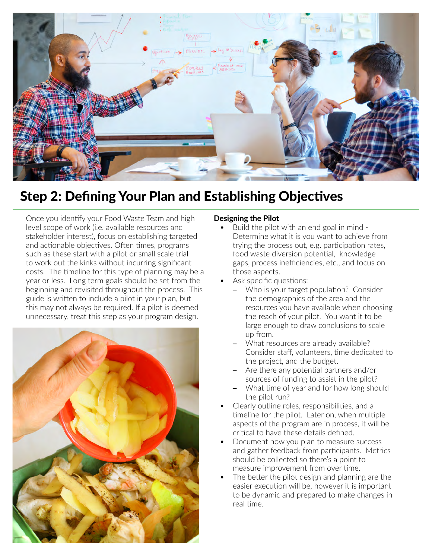

# Step 2: Defining Your Plan and Establishing Objectives

Once you identify your Food Waste Team and high level scope of work (i.e. available resources and stakeholder interest), focus on establishing targeted and actionable objectives. Often times, programs such as these start with a pilot or small scale trial to work out the kinks without incurring significant costs. The timeline for this type of planning may be a year or less. Long term goals should be set from the beginning and revisited throughout the process. This guide is written to include a pilot in your plan, but this may not always be required. If a pilot is deemed unnecessary, treat this step as your program design.



### **Designing the Pilot**

- Build the pilot with an end goal in mind Determine what it is you want to achieve from trying the process out, e.g. participation rates, food waste diversion potential, knowledge gaps, process inefficiencies, etc., and focus on those aspects.
- Ask specific questions:
	- Who is your target population? Consider the demographics of the area and the resources you have available when choosing the reach of your pilot. You want it to be large enough to draw conclusions to scale up from.
	- What resources are already available? Consider staff, volunteers, time dedicated to the project, and the budget.
	- ─ Are there any potential partners and/or sources of funding to assist in the pilot?
	- What time of year and for how long should the pilot run?
- Clearly outline roles, responsibilities, and a timeline for the pilot. Later on, when multiple aspects of the program are in process, it will be critical to have these details defined.
- Document how you plan to measure success and gather feedback from participants. Metrics should be collected so there's a point to measure improvement from over time.
- The better the pilot design and planning are the easier execution will be, however it is important to be dynamic and prepared to make changes in real time.